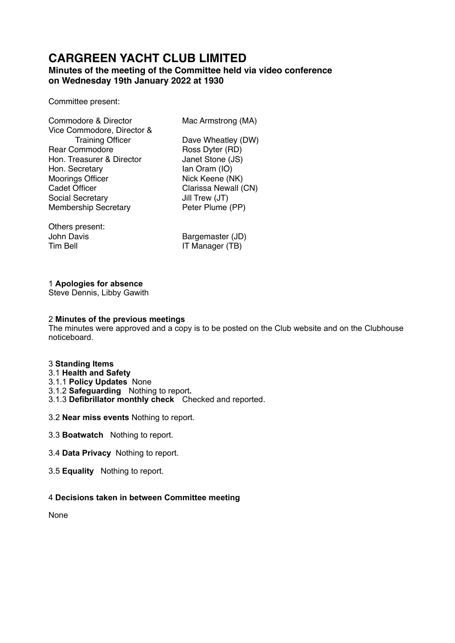# **CARGREEN YACHT CLUB LIMITED**

# **Minutes of the meeting of the Committee held via video conference on Wednesday 19th January 2022 at 1930**

Committee present:

| Commodore & Director        | Mac Armstrong (MA)   |
|-----------------------------|----------------------|
| Vice Commodore, Director &  |                      |
| <b>Training Officer</b>     | Dave Wheatley (DW)   |
| <b>Rear Commodore</b>       | Ross Dyter (RD)      |
| Hon. Treasurer & Director   | Janet Stone (JS)     |
| Hon. Secretary              | lan Oram (IO)        |
| <b>Moorings Officer</b>     | Nick Keene (NK)      |
| <b>Cadet Officer</b>        | Clarissa Newall (CN) |
| Social Secretary            | Jill Trew (JT)       |
| <b>Membership Secretary</b> | Peter Plume (PP)     |
|                             |                      |
|                             |                      |

Others present:

John Davis Bargemaster (JD) IT Manager (TB)

## 1 **Apologies for absence**

Steve Dennis, Libby Gawith

#### 2 **Minutes of the previous meetings**

The minutes were approved and a copy is to be posted on the Club website and on the Clubhouse noticeboard.

#### 3 **Standing Items**

# 3.1 **Health and Safety**

- 3.1.1 **Policy Updates** None
- 3.1.2 **Safeguarding** Nothing to report**.**
- 3.1.3 **Defibrillator monthly check** Checked and reported.
- 3.2 **Near miss events** Nothing to report.
- 3.3 **Boatwatch** Nothing to report.
- 3.4 **Data Privacy** Nothing to report.
- 3.5 **Equality** Nothing to report.

## 4 **Decisions taken in between Committee meeting**

None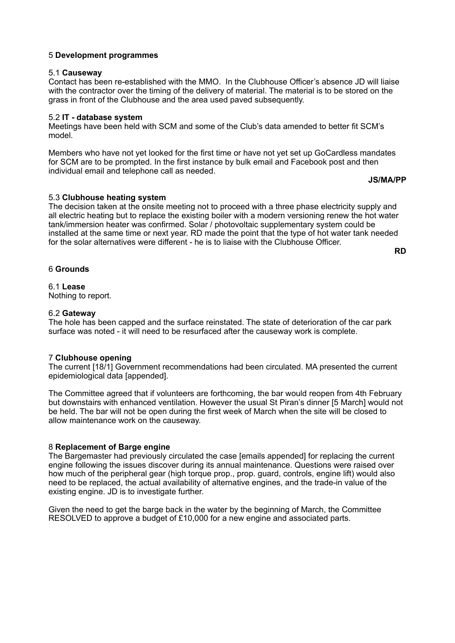#### 5 **Development programmes**

#### 5.1 **Causeway**

Contact has been re-established with the MMO. In the Clubhouse Officer's absence JD will liaise with the contractor over the timing of the delivery of material. The material is to be stored on the grass in front of the Clubhouse and the area used paved subsequently.

## 5.2 **IT - database system**

Meetings have been held with SCM and some of the Club's data amended to better fit SCM's model.

Members who have not yet looked for the first time or have not yet set up GoCardless mandates for SCM are to be prompted. In the first instance by bulk email and Facebook post and then individual email and telephone call as needed.

**JS/MA/PP** 

#### 5.3 **Clubhouse heating system**

The decision taken at the onsite meeting not to proceed with a three phase electricity supply and all electric heating but to replace the existing boiler with a modern versioning renew the hot water tank/immersion heater was confirmed. Solar / photovoltaic supplementary system could be installed at the same time or next year. RD made the point that the type of hot water tank needed for the solar alternatives were different - he is to liaise with the Clubhouse Officer.

**RD** 

#### 6 **Grounds**

#### 6.1 **Lease**

Nothing to report.

#### 6.2 **Gateway**

The hole has been capped and the surface reinstated. The state of deterioration of the car park surface was noted - it will need to be resurfaced after the causeway work is complete.

#### 7 **Clubhouse opening**

The current [18/1] Government recommendations had been circulated. MA presented the current epidemiological data [appended].

The Committee agreed that if volunteers are forthcoming, the bar would reopen from 4th February but downstairs with enhanced ventilation. However the usual St Piran's dinner [5 March] would not be held. The bar will not be open during the first week of March when the site will be closed to allow maintenance work on the causeway.

## 8 **Replacement of Barge engine**

The Bargemaster had previously circulated the case [emails appended] for replacing the current engine following the issues discover during its annual maintenance. Questions were raised over how much of the peripheral gear (high torque prop., prop. guard, controls, engine lift) would also need to be replaced, the actual availability of alternative engines, and the trade-in value of the existing engine. JD is to investigate further.

Given the need to get the barge back in the water by the beginning of March, the Committee RESOLVED to approve a budget of £10,000 for a new engine and associated parts.